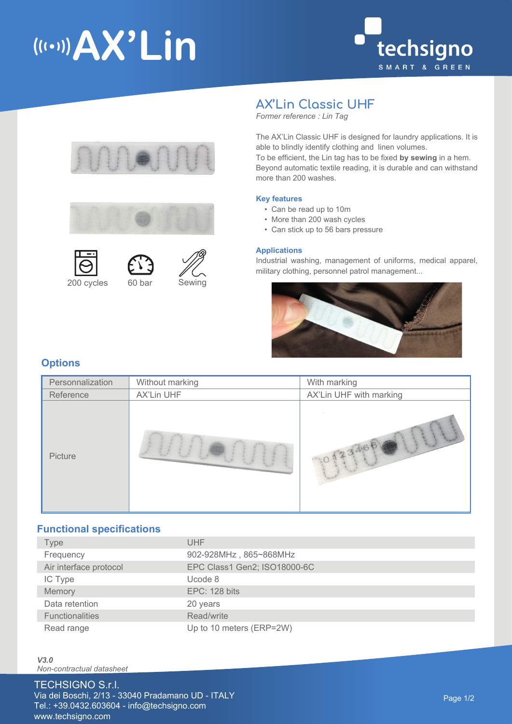# (((.))) AX'Lin













## **AX'Lin Classic UHF**

*Former reference : Lin Tag*

The AX'Lin Classic UHF is designed for laundry applications. It is able to blindly identify clothing and linen volumes. To be efficient, the Lin tag has to be fixed **by sewing** in a hem. Beyond automatic textile reading, it is durable and can withstand more than 200 washes.

#### **Key features**

- Can be read up to 10m
- More than 200 wash cycles
- Can stick up to 56 bars pressure

#### **Applications**

Industrial washing, management of uniforms, medical apparel, military clothing, personnel patrol management...



## **Options**

| Personnalization | Without marking | With marking            |
|------------------|-----------------|-------------------------|
| Reference        | AX'Lin UHF      | AX'Lin UHF with marking |
| Picture          |                 | 23466                   |

## **Functional specifications**

| Type                   | UHF                          |
|------------------------|------------------------------|
| Frequency              | 902-928MHz, 865~868MHz       |
| Air interface protocol | EPC Class1 Gen2; ISO18000-6C |
| IC Type                | Ucode 8                      |
| Memory                 | EPC: 128 bits                |
| Data retention         | 20 years                     |
| <b>Functionalities</b> | Read/write                   |
| Read range             | Up to 10 meters (ERP=2W)     |

*V3.0 Non-contractual datasheet*

## TECHSIGNO S.r.l.

Via dei Boschi, 2/13 - 33040 Pradamano UD - ITALY Tel.: +39.0432.603604 - info@techsigno.com www.techsigno.com